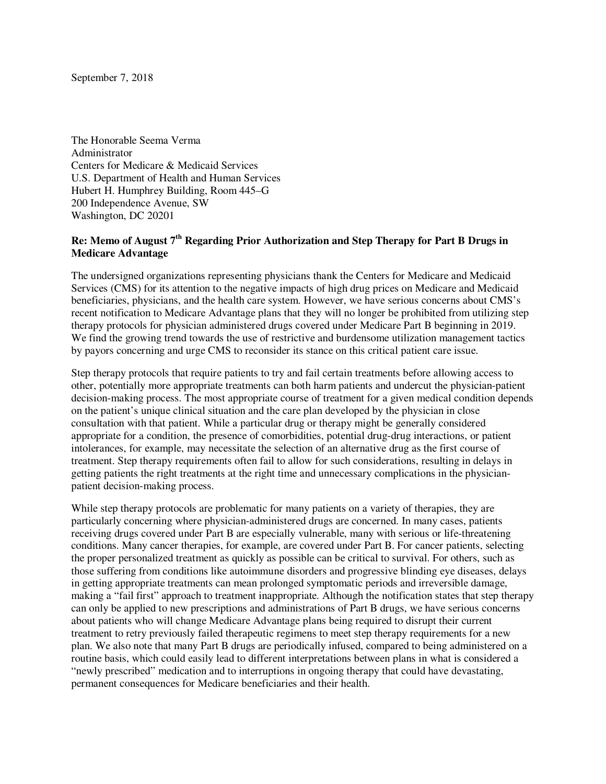September 7, 2018

The Honorable Seema Verma Administrator Centers for Medicare & Medicaid Services U.S. Department of Health and Human Services Hubert H. Humphrey Building, Room 445–G 200 Independence Avenue, SW Washington, DC 20201

## **Re: Memo of August 7th Regarding Prior Authorization and Step Therapy for Part B Drugs in Medicare Advantage**

The undersigned organizations representing physicians thank the Centers for Medicare and Medicaid Services (CMS) for its attention to the negative impacts of high drug prices on Medicare and Medicaid beneficiaries, physicians, and the health care system. However, we have serious concerns about CMS's recent notification to Medicare Advantage plans that they will no longer be prohibited from utilizing step therapy protocols for physician administered drugs covered under Medicare Part B beginning in 2019. We find the growing trend towards the use of restrictive and burdensome utilization management tactics by payors concerning and urge CMS to reconsider its stance on this critical patient care issue.

Step therapy protocols that require patients to try and fail certain treatments before allowing access to other, potentially more appropriate treatments can both harm patients and undercut the physician-patient decision-making process. The most appropriate course of treatment for a given medical condition depends on the patient's unique clinical situation and the care plan developed by the physician in close consultation with that patient. While a particular drug or therapy might be generally considered appropriate for a condition, the presence of comorbidities, potential drug-drug interactions, or patient intolerances, for example, may necessitate the selection of an alternative drug as the first course of treatment. Step therapy requirements often fail to allow for such considerations, resulting in delays in getting patients the right treatments at the right time and unnecessary complications in the physicianpatient decision-making process.

While step therapy protocols are problematic for many patients on a variety of therapies, they are particularly concerning where physician-administered drugs are concerned. In many cases, patients receiving drugs covered under Part B are especially vulnerable, many with serious or life-threatening conditions. Many cancer therapies, for example, are covered under Part B. For cancer patients, selecting the proper personalized treatment as quickly as possible can be critical to survival. For others, such as those suffering from conditions like autoimmune disorders and progressive blinding eye diseases, delays in getting appropriate treatments can mean prolonged symptomatic periods and irreversible damage, making a "fail first" approach to treatment inappropriate. Although the notification states that step therapy can only be applied to new prescriptions and administrations of Part B drugs, we have serious concerns about patients who will change Medicare Advantage plans being required to disrupt their current treatment to retry previously failed therapeutic regimens to meet step therapy requirements for a new plan. We also note that many Part B drugs are periodically infused, compared to being administered on a routine basis, which could easily lead to different interpretations between plans in what is considered a "newly prescribed" medication and to interruptions in ongoing therapy that could have devastating, permanent consequences for Medicare beneficiaries and their health.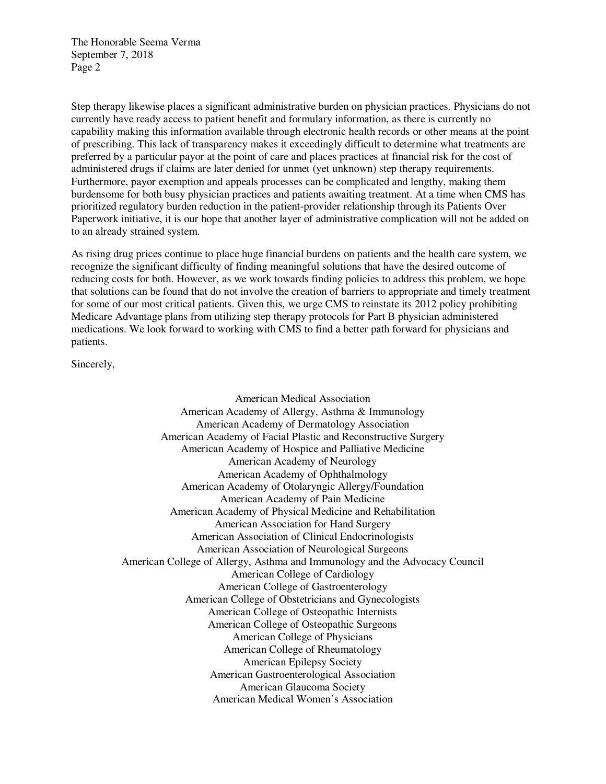The Honorable Seema Verma September 7, 2018 Page 2

Step therapy likewise places a significant administrative burden on physician practices. Physicians do not currently have ready access to patient benefit and formulary information, as there is currently no capability making this information available through electronic health records or other means at the point of prescribing. This lack of transparency makes it exceedingly difficult to determine what treatments are preferred by a particular payor at the point of care and places practices at financial risk for the cost of administered drugs if claims are later denied for unmet (yet unknown) step therapy requirements. Furthermore, payor exemption and appeals processes can be complicated and lengthy, making them burdensome for both busy physician practices and patients awaiting treatment. At a time when CMS has prioritized regulatory burden reduction in the patient-provider relationship through its Patients Over Paperwork initiative, it is our hope that another layer of administrative complication will not be added on to an already strained system.

As rising drug prices continue to place huge financial burdens on patients and the health care system, we recognize the significant difficulty of finding meaningful solutions that have the desired outcome of reducing costs for both. However, as we work towards finding policies to address this problem, we hope that solutions can be found that do not involve the creation of barriers to appropriate and timely treatment for some of our most critical patients. Given this, we urge CMS to reinstate its 2012 policy prohibiting Medicare Advantage plans from utilizing step therapy protocols for Part B physician administered medications. We look forward to working with CMS to find a better path forward for physicians and patients.

Sincerely,

American Medical Association American Academy of Allergy, Asthma & Immunology American Academy of Dermatology Association American Academy of Facial Plastic and Reconstructive Surgery American Academy of Hospice and Palliative Medicine American Academy of Neurology American Academy of Ophthalmology American Academy of Otolaryngic Allergy/Foundation American Academy of Pain Medicine American Academy of Physical Medicine and Rehabilitation American Association for Hand Surgery American Association of Clinical Endocrinologists American Association of Neurological Surgeons American College of Allergy, Asthma and Immunology and the Advocacy Council American College of Cardiology American College of Gastroenterology American College of Obstetricians and Gynecologists American College of Osteopathic Internists American College of Osteopathic Surgeons American College of Physicians American College of Rheumatology American Epilepsy Society American Gastroenterological Association American Glaucoma Society American Medical Women's Association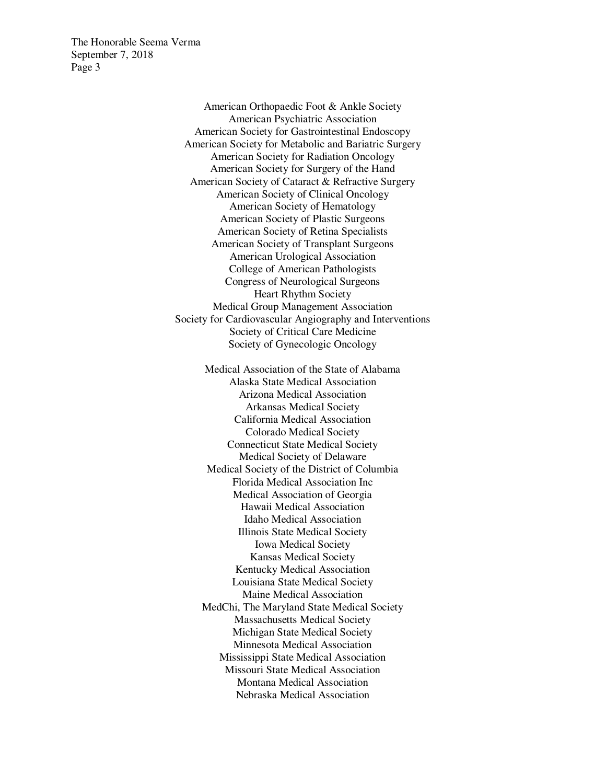The Honorable Seema Verma September 7, 2018 Page 3

> American Orthopaedic Foot & Ankle Society American Psychiatric Association American Society for Gastrointestinal Endoscopy American Society for Metabolic and Bariatric Surgery American Society for Radiation Oncology American Society for Surgery of the Hand American Society of Cataract & Refractive Surgery American Society of Clinical Oncology American Society of Hematology American Society of Plastic Surgeons American Society of Retina Specialists American Society of Transplant Surgeons American Urological Association College of American Pathologists Congress of Neurological Surgeons Heart Rhythm Society Medical Group Management Association Society for Cardiovascular Angiography and Interventions Society of Critical Care Medicine Society of Gynecologic Oncology

> > Medical Association of the State of Alabama Alaska State Medical Association Arizona Medical Association Arkansas Medical Society California Medical Association Colorado Medical Society Connecticut State Medical Society Medical Society of Delaware Medical Society of the District of Columbia Florida Medical Association Inc Medical Association of Georgia Hawaii Medical Association Idaho Medical Association Illinois State Medical Society Iowa Medical Society Kansas Medical Society Kentucky Medical Association Louisiana State Medical Society Maine Medical Association MedChi, The Maryland State Medical Society Massachusetts Medical Society Michigan State Medical Society Minnesota Medical Association Mississippi State Medical Association Missouri State Medical Association Montana Medical Association Nebraska Medical Association